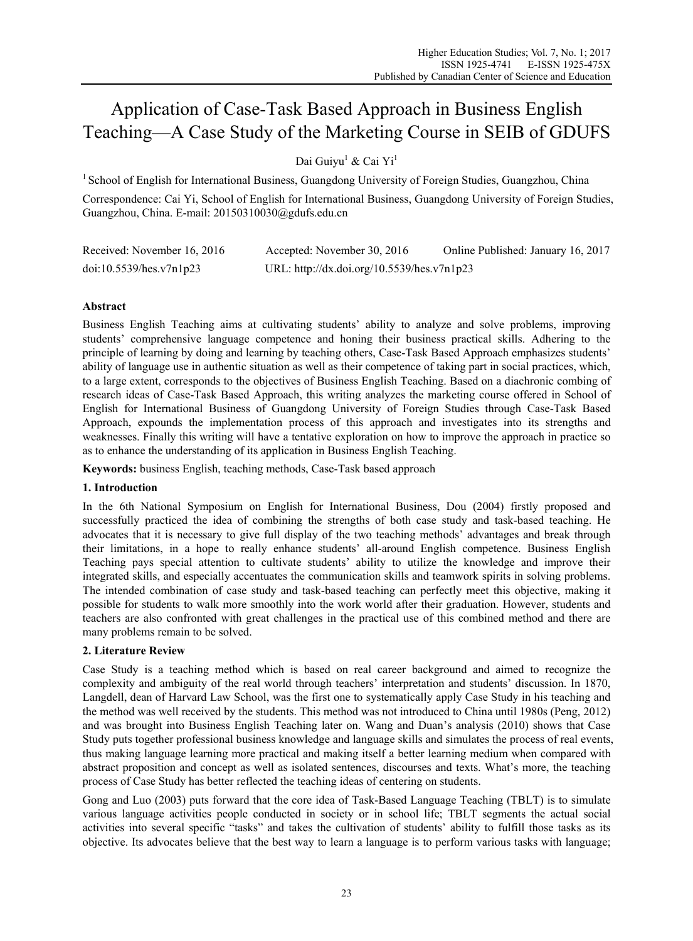# Application of Case-Task Based Approach in Business English Teaching—A Case Study of the Marketing Course in SEIB of GDUFS

Dai Guiyu<sup>1</sup> & Cai Yi<sup>1</sup>

<sup>1</sup> School of English for International Business, Guangdong University of Foreign Studies, Guangzhou, China

Correspondence: Cai Yi, School of English for International Business, Guangdong University of Foreign Studies, Guangzhou, China. E-mail: 20150310030@gdufs.edu.cn

| Received: November 16, 2016 | Accepted: November 30, 2016                | Online Published: January 16, 2017 |
|-----------------------------|--------------------------------------------|------------------------------------|
| doi:10.5539/hes.v7n1p23     | URL: http://dx.doi.org/10.5539/hes.v7n1p23 |                                    |

# **Abstract**

Business English Teaching aims at cultivating students' ability to analyze and solve problems, improving students' comprehensive language competence and honing their business practical skills. Adhering to the principle of learning by doing and learning by teaching others, Case-Task Based Approach emphasizes students' ability of language use in authentic situation as well as their competence of taking part in social practices, which, to a large extent, corresponds to the objectives of Business English Teaching. Based on a diachronic combing of research ideas of Case-Task Based Approach, this writing analyzes the marketing course offered in School of English for International Business of Guangdong University of Foreign Studies through Case-Task Based Approach, expounds the implementation process of this approach and investigates into its strengths and weaknesses. Finally this writing will have a tentative exploration on how to improve the approach in practice so as to enhance the understanding of its application in Business English Teaching.

**Keywords:** business English, teaching methods, Case-Task based approach

# **1. Introduction**

In the 6th National Symposium on English for International Business, Dou (2004) firstly proposed and successfully practiced the idea of combining the strengths of both case study and task-based teaching. He advocates that it is necessary to give full display of the two teaching methods' advantages and break through their limitations, in a hope to really enhance students' all-around English competence. Business English Teaching pays special attention to cultivate students' ability to utilize the knowledge and improve their integrated skills, and especially accentuates the communication skills and teamwork spirits in solving problems. The intended combination of case study and task-based teaching can perfectly meet this objective, making it possible for students to walk more smoothly into the work world after their graduation. However, students and teachers are also confronted with great challenges in the practical use of this combined method and there are many problems remain to be solved.

# **2. Literature Review**

Case Study is a teaching method which is based on real career background and aimed to recognize the complexity and ambiguity of the real world through teachers' interpretation and students' discussion. In 1870, Langdell, dean of Harvard Law School, was the first one to systematically apply Case Study in his teaching and the method was well received by the students. This method was not introduced to China until 1980s (Peng, 2012) and was brought into Business English Teaching later on. Wang and Duan's analysis (2010) shows that Case Study puts together professional business knowledge and language skills and simulates the process of real events, thus making language learning more practical and making itself a better learning medium when compared with abstract proposition and concept as well as isolated sentences, discourses and texts. What's more, the teaching process of Case Study has better reflected the teaching ideas of centering on students.

Gong and Luo (2003) puts forward that the core idea of Task-Based Language Teaching (TBLT) is to simulate various language activities people conducted in society or in school life; TBLT segments the actual social activities into several specific "tasks" and takes the cultivation of students' ability to fulfill those tasks as its objective. Its advocates believe that the best way to learn a language is to perform various tasks with language;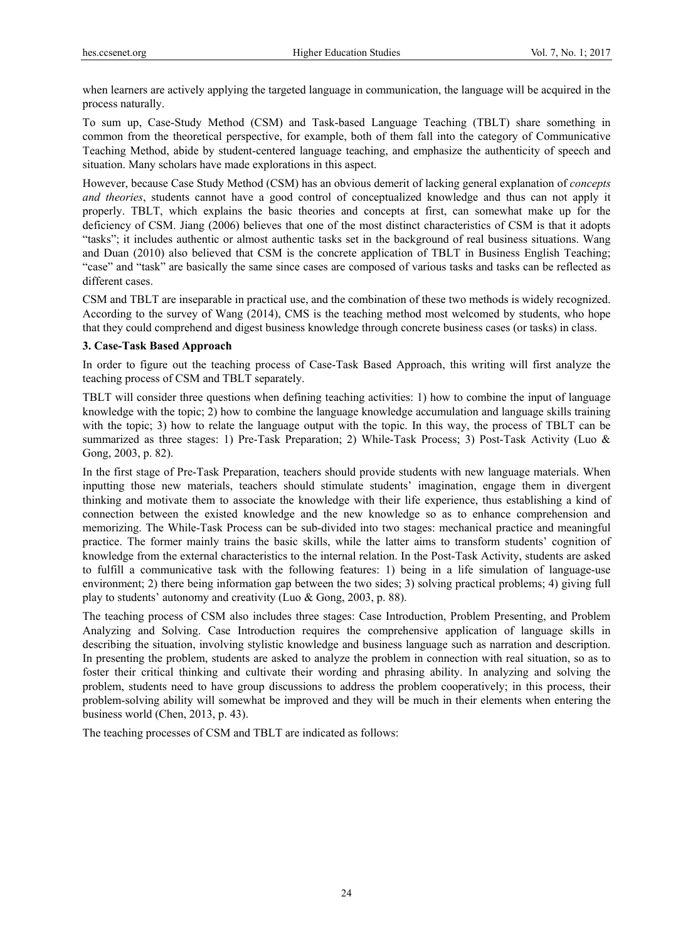when learners are actively applying the targeted language in communication, the language will be acquired in the process naturally.

To sum up, Case-Study Method (CSM) and Task-based Language Teaching (TBLT) share something in common from the theoretical perspective, for example, both of them fall into the category of Communicative Teaching Method, abide by student-centered language teaching, and emphasize the authenticity of speech and situation. Many scholars have made explorations in this aspect.

However, because Case Study Method (CSM) has an obvious demerit of lacking general explanation of *concepts and theories*, students cannot have a good control of conceptualized knowledge and thus can not apply it properly. TBLT, which explains the basic theories and concepts at first, can somewhat make up for the deficiency of CSM. Jiang (2006) believes that one of the most distinct characteristics of CSM is that it adopts "tasks"; it includes authentic or almost authentic tasks set in the background of real business situations. Wang and Duan (2010) also believed that CSM is the concrete application of TBLT in Business English Teaching; "case" and "task" are basically the same since cases are composed of various tasks and tasks can be reflected as different cases.

CSM and TBLT are inseparable in practical use, and the combination of these two methods is widely recognized. According to the survey of Wang (2014), CMS is the teaching method most welcomed by students, who hope that they could comprehend and digest business knowledge through concrete business cases (or tasks) in class.

# **3. Case-Task Based Approach**

In order to figure out the teaching process of Case-Task Based Approach, this writing will first analyze the teaching process of CSM and TBLT separately.

TBLT will consider three questions when defining teaching activities: 1) how to combine the input of language knowledge with the topic; 2) how to combine the language knowledge accumulation and language skills training with the topic; 3) how to relate the language output with the topic. In this way, the process of TBLT can be summarized as three stages: 1) Pre-Task Preparation; 2) While-Task Process; 3) Post-Task Activity (Luo & Gong, 2003, p. 82).

In the first stage of Pre-Task Preparation, teachers should provide students with new language materials. When inputting those new materials, teachers should stimulate students' imagination, engage them in divergent thinking and motivate them to associate the knowledge with their life experience, thus establishing a kind of connection between the existed knowledge and the new knowledge so as to enhance comprehension and memorizing. The While-Task Process can be sub-divided into two stages: mechanical practice and meaningful practice. The former mainly trains the basic skills, while the latter aims to transform students' cognition of knowledge from the external characteristics to the internal relation. In the Post-Task Activity, students are asked to fulfill a communicative task with the following features: 1) being in a life simulation of language-use environment; 2) there being information gap between the two sides; 3) solving practical problems; 4) giving full play to students' autonomy and creativity (Luo & Gong, 2003, p. 88).

The teaching process of CSM also includes three stages: Case Introduction, Problem Presenting, and Problem Analyzing and Solving. Case Introduction requires the comprehensive application of language skills in describing the situation, involving stylistic knowledge and business language such as narration and description. In presenting the problem, students are asked to analyze the problem in connection with real situation, so as to foster their critical thinking and cultivate their wording and phrasing ability. In analyzing and solving the problem, students need to have group discussions to address the problem cooperatively; in this process, their problem-solving ability will somewhat be improved and they will be much in their elements when entering the business world (Chen, 2013, p. 43).

The teaching processes of CSM and TBLT are indicated as follows: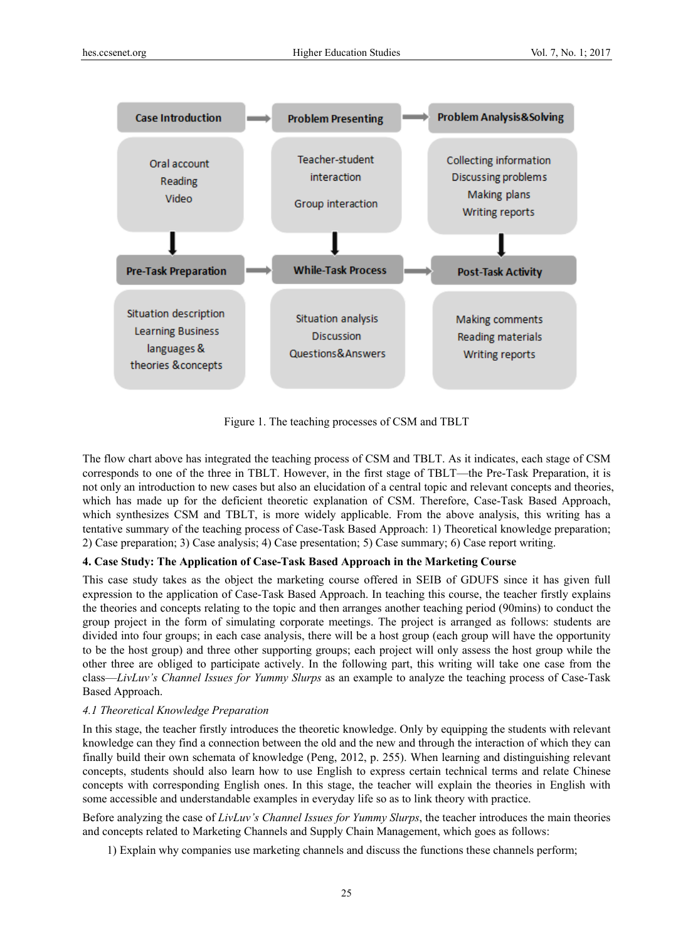

Figure 1. The teaching processes of CSM and TBLT

The flow chart above has integrated the teaching process of CSM and TBLT. As it indicates, each stage of CSM corresponds to one of the three in TBLT. However, in the first stage of TBLT—the Pre-Task Preparation, it is not only an introduction to new cases but also an elucidation of a central topic and relevant concepts and theories, which has made up for the deficient theoretic explanation of CSM. Therefore, Case-Task Based Approach, which synthesizes CSM and TBLT, is more widely applicable. From the above analysis, this writing has a tentative summary of the teaching process of Case-Task Based Approach: 1) Theoretical knowledge preparation; 2) Case preparation; 3) Case analysis; 4) Case presentation; 5) Case summary; 6) Case report writing.

## **4. Case Study: The Application of Case-Task Based Approach in the Marketing Course**

This case study takes as the object the marketing course offered in SEIB of GDUFS since it has given full expression to the application of Case-Task Based Approach. In teaching this course, the teacher firstly explains the theories and concepts relating to the topic and then arranges another teaching period (90mins) to conduct the group project in the form of simulating corporate meetings. The project is arranged as follows: students are divided into four groups; in each case analysis, there will be a host group (each group will have the opportunity to be the host group) and three other supporting groups; each project will only assess the host group while the other three are obliged to participate actively. In the following part, this writing will take one case from the class—*LivLuv's Channel Issues for Yummy Slurps* as an example to analyze the teaching process of Case-Task Based Approach.

## *4.1 Theoretical Knowledge Preparation*

In this stage, the teacher firstly introduces the theoretic knowledge. Only by equipping the students with relevant knowledge can they find a connection between the old and the new and through the interaction of which they can finally build their own schemata of knowledge (Peng, 2012, p. 255). When learning and distinguishing relevant concepts, students should also learn how to use English to express certain technical terms and relate Chinese concepts with corresponding English ones. In this stage, the teacher will explain the theories in English with some accessible and understandable examples in everyday life so as to link theory with practice.

Before analyzing the case of *LivLuv's Channel Issues for Yummy Slurps*, the teacher introduces the main theories and concepts related to Marketing Channels and Supply Chain Management, which goes as follows:

1) Explain why companies use marketing channels and discuss the functions these channels perform;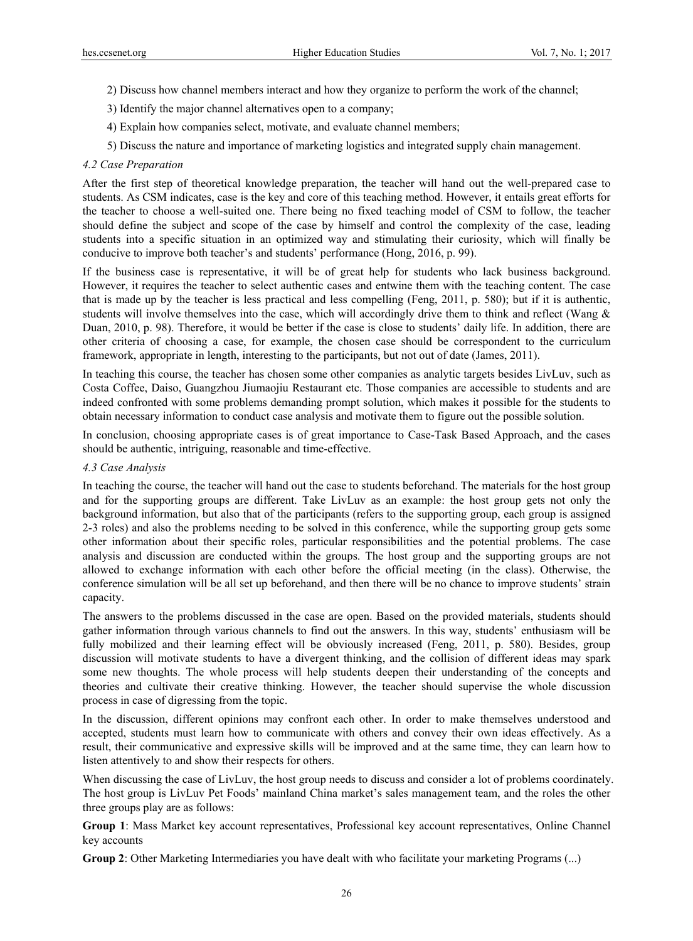- 2) Discuss how channel members interact and how they organize to perform the work of the channel;
- 3) Identify the major channel alternatives open to a company;
- 4) Explain how companies select, motivate, and evaluate channel members;
- 5) Discuss the nature and importance of marketing logistics and integrated supply chain management.

## *4.2 Case Preparation*

After the first step of theoretical knowledge preparation, the teacher will hand out the well-prepared case to students. As CSM indicates, case is the key and core of this teaching method. However, it entails great efforts for the teacher to choose a well-suited one. There being no fixed teaching model of CSM to follow, the teacher should define the subject and scope of the case by himself and control the complexity of the case, leading students into a specific situation in an optimized way and stimulating their curiosity, which will finally be conducive to improve both teacher's and students' performance (Hong, 2016, p. 99).

If the business case is representative, it will be of great help for students who lack business background. However, it requires the teacher to select authentic cases and entwine them with the teaching content. The case that is made up by the teacher is less practical and less compelling (Feng, 2011, p. 580); but if it is authentic, students will involve themselves into the case, which will accordingly drive them to think and reflect (Wang & Duan, 2010, p. 98). Therefore, it would be better if the case is close to students' daily life. In addition, there are other criteria of choosing a case, for example, the chosen case should be correspondent to the curriculum framework, appropriate in length, interesting to the participants, but not out of date (James, 2011).

In teaching this course, the teacher has chosen some other companies as analytic targets besides LivLuv, such as Costa Coffee, Daiso, Guangzhou Jiumaojiu Restaurant etc. Those companies are accessible to students and are indeed confronted with some problems demanding prompt solution, which makes it possible for the students to obtain necessary information to conduct case analysis and motivate them to figure out the possible solution.

In conclusion, choosing appropriate cases is of great importance to Case-Task Based Approach, and the cases should be authentic, intriguing, reasonable and time-effective.

## *4.3 Case Analysis*

In teaching the course, the teacher will hand out the case to students beforehand. The materials for the host group and for the supporting groups are different. Take LivLuv as an example: the host group gets not only the background information, but also that of the participants (refers to the supporting group, each group is assigned 2-3 roles) and also the problems needing to be solved in this conference, while the supporting group gets some other information about their specific roles, particular responsibilities and the potential problems. The case analysis and discussion are conducted within the groups. The host group and the supporting groups are not allowed to exchange information with each other before the official meeting (in the class). Otherwise, the conference simulation will be all set up beforehand, and then there will be no chance to improve students' strain capacity.

The answers to the problems discussed in the case are open. Based on the provided materials, students should gather information through various channels to find out the answers. In this way, students' enthusiasm will be fully mobilized and their learning effect will be obviously increased (Feng, 2011, p. 580). Besides, group discussion will motivate students to have a divergent thinking, and the collision of different ideas may spark some new thoughts. The whole process will help students deepen their understanding of the concepts and theories and cultivate their creative thinking. However, the teacher should supervise the whole discussion process in case of digressing from the topic.

In the discussion, different opinions may confront each other. In order to make themselves understood and accepted, students must learn how to communicate with others and convey their own ideas effectively. As a result, their communicative and expressive skills will be improved and at the same time, they can learn how to listen attentively to and show their respects for others.

When discussing the case of LivLuv, the host group needs to discuss and consider a lot of problems coordinately. The host group is LivLuv Pet Foods' mainland China market's sales management team, and the roles the other three groups play are as follows:

**Group 1**: Mass Market key account representatives, Professional key account representatives, Online Channel key accounts

**Group 2**: Other Marketing Intermediaries you have dealt with who facilitate your marketing Programs (...)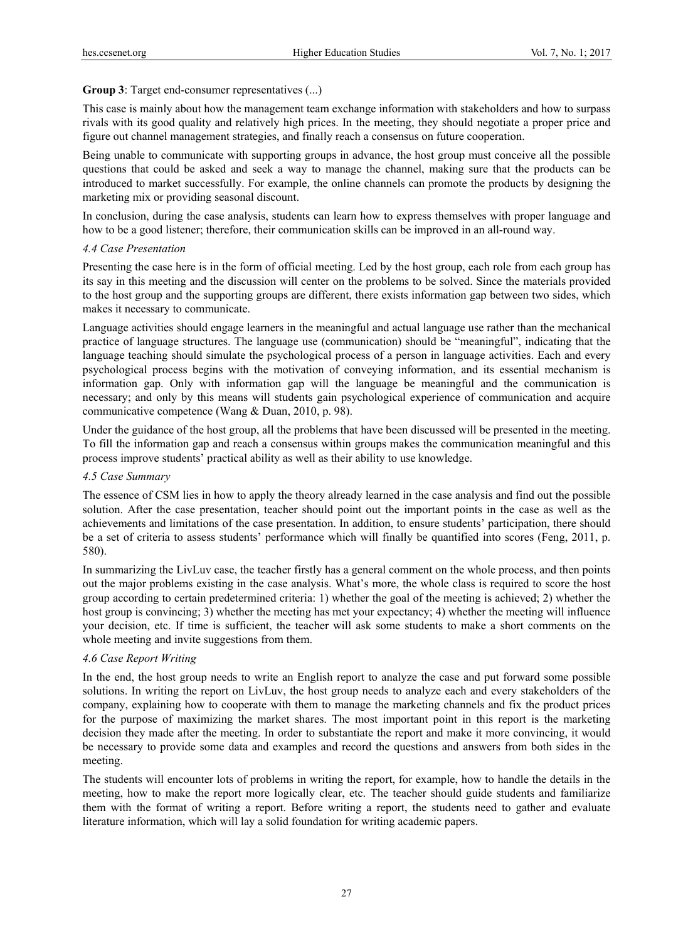## **Group 3**: Target end-consumer representatives (...)

This case is mainly about how the management team exchange information with stakeholders and how to surpass rivals with its good quality and relatively high prices. In the meeting, they should negotiate a proper price and figure out channel management strategies, and finally reach a consensus on future cooperation.

Being unable to communicate with supporting groups in advance, the host group must conceive all the possible questions that could be asked and seek a way to manage the channel, making sure that the products can be introduced to market successfully. For example, the online channels can promote the products by designing the marketing mix or providing seasonal discount.

In conclusion, during the case analysis, students can learn how to express themselves with proper language and how to be a good listener; therefore, their communication skills can be improved in an all-round way.

## *4.4 Case Presentation*

Presenting the case here is in the form of official meeting. Led by the host group, each role from each group has its say in this meeting and the discussion will center on the problems to be solved. Since the materials provided to the host group and the supporting groups are different, there exists information gap between two sides, which makes it necessary to communicate.

Language activities should engage learners in the meaningful and actual language use rather than the mechanical practice of language structures. The language use (communication) should be "meaningful", indicating that the language teaching should simulate the psychological process of a person in language activities. Each and every psychological process begins with the motivation of conveying information, and its essential mechanism is information gap. Only with information gap will the language be meaningful and the communication is necessary; and only by this means will students gain psychological experience of communication and acquire communicative competence (Wang & Duan, 2010, p. 98).

Under the guidance of the host group, all the problems that have been discussed will be presented in the meeting. To fill the information gap and reach a consensus within groups makes the communication meaningful and this process improve students' practical ability as well as their ability to use knowledge.

## *4.5 Case Summary*

The essence of CSM lies in how to apply the theory already learned in the case analysis and find out the possible solution. After the case presentation, teacher should point out the important points in the case as well as the achievements and limitations of the case presentation. In addition, to ensure students' participation, there should be a set of criteria to assess students' performance which will finally be quantified into scores (Feng, 2011, p. 580).

In summarizing the LivLuv case, the teacher firstly has a general comment on the whole process, and then points out the major problems existing in the case analysis. What's more, the whole class is required to score the host group according to certain predetermined criteria: 1) whether the goal of the meeting is achieved; 2) whether the host group is convincing; 3) whether the meeting has met your expectancy; 4) whether the meeting will influence your decision, etc. If time is sufficient, the teacher will ask some students to make a short comments on the whole meeting and invite suggestions from them.

## *4.6 Case Report Writing*

In the end, the host group needs to write an English report to analyze the case and put forward some possible solutions. In writing the report on LivLuv, the host group needs to analyze each and every stakeholders of the company, explaining how to cooperate with them to manage the marketing channels and fix the product prices for the purpose of maximizing the market shares. The most important point in this report is the marketing decision they made after the meeting. In order to substantiate the report and make it more convincing, it would be necessary to provide some data and examples and record the questions and answers from both sides in the meeting.

The students will encounter lots of problems in writing the report, for example, how to handle the details in the meeting, how to make the report more logically clear, etc. The teacher should guide students and familiarize them with the format of writing a report. Before writing a report, the students need to gather and evaluate literature information, which will lay a solid foundation for writing academic papers.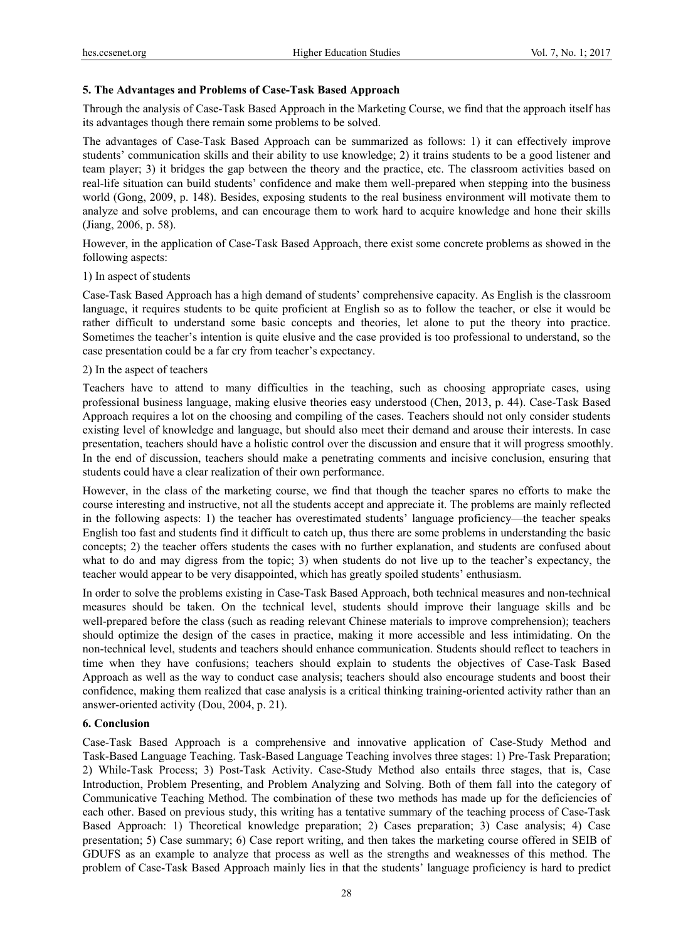### **5. The Advantages and Problems of Case-Task Based Approach**

Through the analysis of Case-Task Based Approach in the Marketing Course, we find that the approach itself has its advantages though there remain some problems to be solved.

The advantages of Case-Task Based Approach can be summarized as follows: 1) it can effectively improve students' communication skills and their ability to use knowledge; 2) it trains students to be a good listener and team player; 3) it bridges the gap between the theory and the practice, etc. The classroom activities based on real-life situation can build students' confidence and make them well-prepared when stepping into the business world (Gong, 2009, p. 148). Besides, exposing students to the real business environment will motivate them to analyze and solve problems, and can encourage them to work hard to acquire knowledge and hone their skills (Jiang, 2006, p. 58).

However, in the application of Case-Task Based Approach, there exist some concrete problems as showed in the following aspects:

#### 1) In aspect of students

Case-Task Based Approach has a high demand of students' comprehensive capacity. As English is the classroom language, it requires students to be quite proficient at English so as to follow the teacher, or else it would be rather difficult to understand some basic concepts and theories, let alone to put the theory into practice. Sometimes the teacher's intention is quite elusive and the case provided is too professional to understand, so the case presentation could be a far cry from teacher's expectancy.

### 2) In the aspect of teachers

Teachers have to attend to many difficulties in the teaching, such as choosing appropriate cases, using professional business language, making elusive theories easy understood (Chen, 2013, p. 44). Case-Task Based Approach requires a lot on the choosing and compiling of the cases. Teachers should not only consider students existing level of knowledge and language, but should also meet their demand and arouse their interests. In case presentation, teachers should have a holistic control over the discussion and ensure that it will progress smoothly. In the end of discussion, teachers should make a penetrating comments and incisive conclusion, ensuring that students could have a clear realization of their own performance.

However, in the class of the marketing course, we find that though the teacher spares no efforts to make the course interesting and instructive, not all the students accept and appreciate it. The problems are mainly reflected in the following aspects: 1) the teacher has overestimated students' language proficiency—the teacher speaks English too fast and students find it difficult to catch up, thus there are some problems in understanding the basic concepts; 2) the teacher offers students the cases with no further explanation, and students are confused about what to do and may digress from the topic; 3) when students do not live up to the teacher's expectancy, the teacher would appear to be very disappointed, which has greatly spoiled students' enthusiasm.

In order to solve the problems existing in Case-Task Based Approach, both technical measures and non-technical measures should be taken. On the technical level, students should improve their language skills and be well-prepared before the class (such as reading relevant Chinese materials to improve comprehension); teachers should optimize the design of the cases in practice, making it more accessible and less intimidating. On the non-technical level, students and teachers should enhance communication. Students should reflect to teachers in time when they have confusions; teachers should explain to students the objectives of Case-Task Based Approach as well as the way to conduct case analysis; teachers should also encourage students and boost their confidence, making them realized that case analysis is a critical thinking training-oriented activity rather than an answer-oriented activity (Dou, 2004, p. 21).

### **6. Conclusion**

Case-Task Based Approach is a comprehensive and innovative application of Case-Study Method and Task-Based Language Teaching. Task-Based Language Teaching involves three stages: 1) Pre-Task Preparation; 2) While-Task Process; 3) Post-Task Activity. Case-Study Method also entails three stages, that is, Case Introduction, Problem Presenting, and Problem Analyzing and Solving. Both of them fall into the category of Communicative Teaching Method. The combination of these two methods has made up for the deficiencies of each other. Based on previous study, this writing has a tentative summary of the teaching process of Case-Task Based Approach: 1) Theoretical knowledge preparation; 2) Cases preparation; 3) Case analysis; 4) Case presentation; 5) Case summary; 6) Case report writing, and then takes the marketing course offered in SEIB of GDUFS as an example to analyze that process as well as the strengths and weaknesses of this method. The problem of Case-Task Based Approach mainly lies in that the students' language proficiency is hard to predict